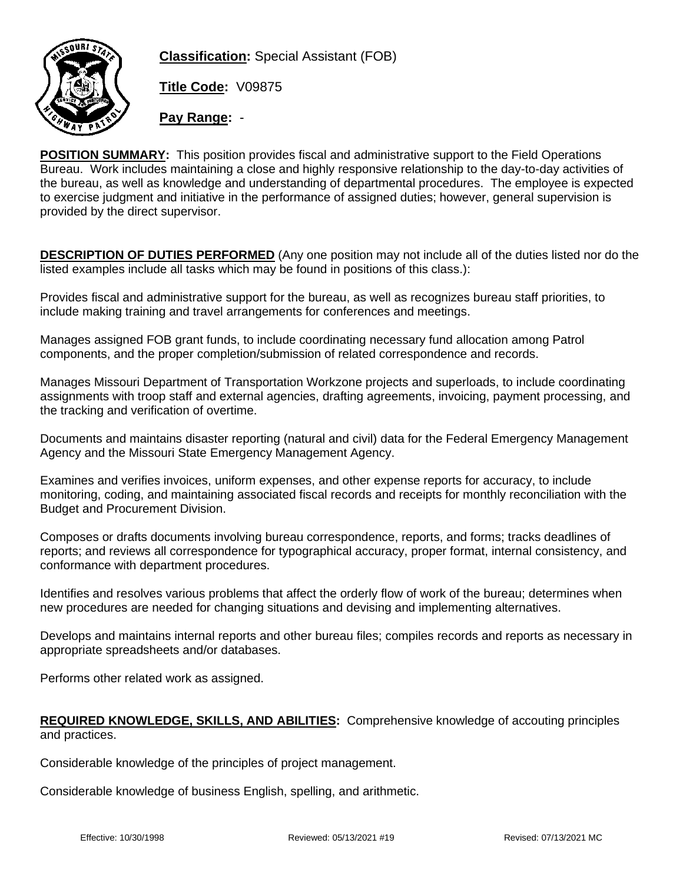

**Classification:** Special Assistant (FOB)

**Title Code:** V09875

**Pay Range:** -

**POSITION SUMMARY:** This position provides fiscal and administrative support to the Field Operations Bureau. Work includes maintaining a close and highly responsive relationship to the day-to-day activities of the bureau, as well as knowledge and understanding of departmental procedures. The employee is expected to exercise judgment and initiative in the performance of assigned duties; however, general supervision is provided by the direct supervisor.

**DESCRIPTION OF DUTIES PERFORMED** (Any one position may not include all of the duties listed nor do the listed examples include all tasks which may be found in positions of this class.):

Provides fiscal and administrative support for the bureau, as well as recognizes bureau staff priorities, to include making training and travel arrangements for conferences and meetings.

Manages assigned FOB grant funds, to include coordinating necessary fund allocation among Patrol components, and the proper completion/submission of related correspondence and records.

Manages Missouri Department of Transportation Workzone projects and superloads, to include coordinating assignments with troop staff and external agencies, drafting agreements, invoicing, payment processing, and the tracking and verification of overtime.

Documents and maintains disaster reporting (natural and civil) data for the Federal Emergency Management Agency and the Missouri State Emergency Management Agency.

Examines and verifies invoices, uniform expenses, and other expense reports for accuracy, to include monitoring, coding, and maintaining associated fiscal records and receipts for monthly reconciliation with the Budget and Procurement Division.

Composes or drafts documents involving bureau correspondence, reports, and forms; tracks deadlines of reports; and reviews all correspondence for typographical accuracy, proper format, internal consistency, and conformance with department procedures.

Identifies and resolves various problems that affect the orderly flow of work of the bureau; determines when new procedures are needed for changing situations and devising and implementing alternatives.

Develops and maintains internal reports and other bureau files; compiles records and reports as necessary in appropriate spreadsheets and/or databases.

Performs other related work as assigned.

## **REQUIRED KNOWLEDGE, SKILLS, AND ABILITIES:** Comprehensive knowledge of accouting principles and practices.

Considerable knowledge of the principles of project management.

Considerable knowledge of business English, spelling, and arithmetic.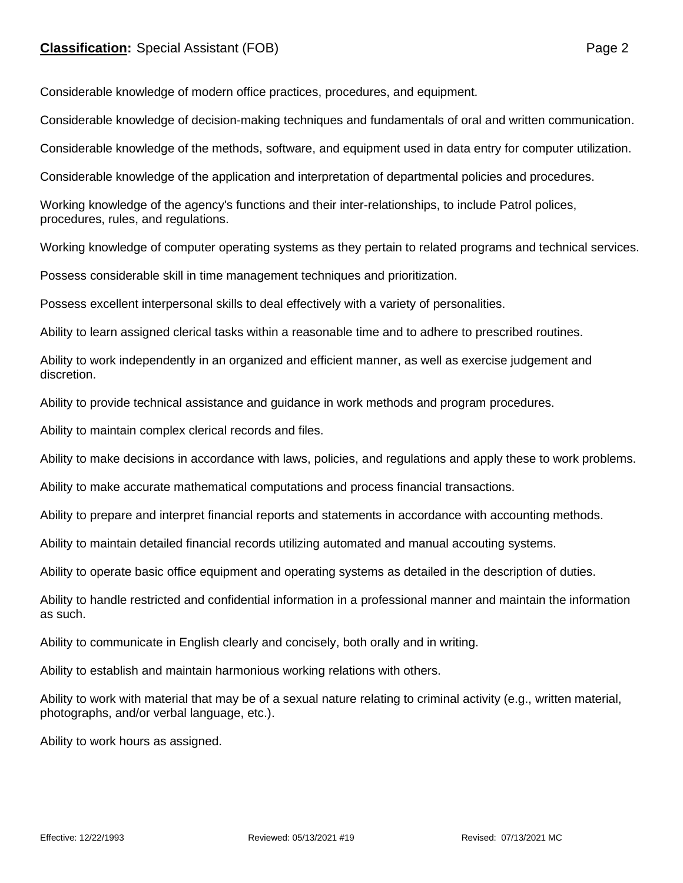Considerable knowledge of modern office practices, procedures, and equipment.

Considerable knowledge of decision-making techniques and fundamentals of oral and written communication.

Considerable knowledge of the methods, software, and equipment used in data entry for computer utilization.

Considerable knowledge of the application and interpretation of departmental policies and procedures.

Working knowledge of the agency's functions and their inter-relationships, to include Patrol polices, procedures, rules, and regulations.

Working knowledge of computer operating systems as they pertain to related programs and technical services.

Possess considerable skill in time management techniques and prioritization.

Possess excellent interpersonal skills to deal effectively with a variety of personalities.

Ability to learn assigned clerical tasks within a reasonable time and to adhere to prescribed routines.

Ability to work independently in an organized and efficient manner, as well as exercise judgement and discretion.

Ability to provide technical assistance and guidance in work methods and program procedures.

Ability to maintain complex clerical records and files.

Ability to make decisions in accordance with laws, policies, and regulations and apply these to work problems.

Ability to make accurate mathematical computations and process financial transactions.

Ability to prepare and interpret financial reports and statements in accordance with accounting methods.

Ability to maintain detailed financial records utilizing automated and manual accouting systems.

Ability to operate basic office equipment and operating systems as detailed in the description of duties.

Ability to handle restricted and confidential information in a professional manner and maintain the information as such.

Ability to communicate in English clearly and concisely, both orally and in writing.

Ability to establish and maintain harmonious working relations with others.

Ability to work with material that may be of a sexual nature relating to criminal activity (e.g., written material, photographs, and/or verbal language, etc.).

Ability to work hours as assigned.